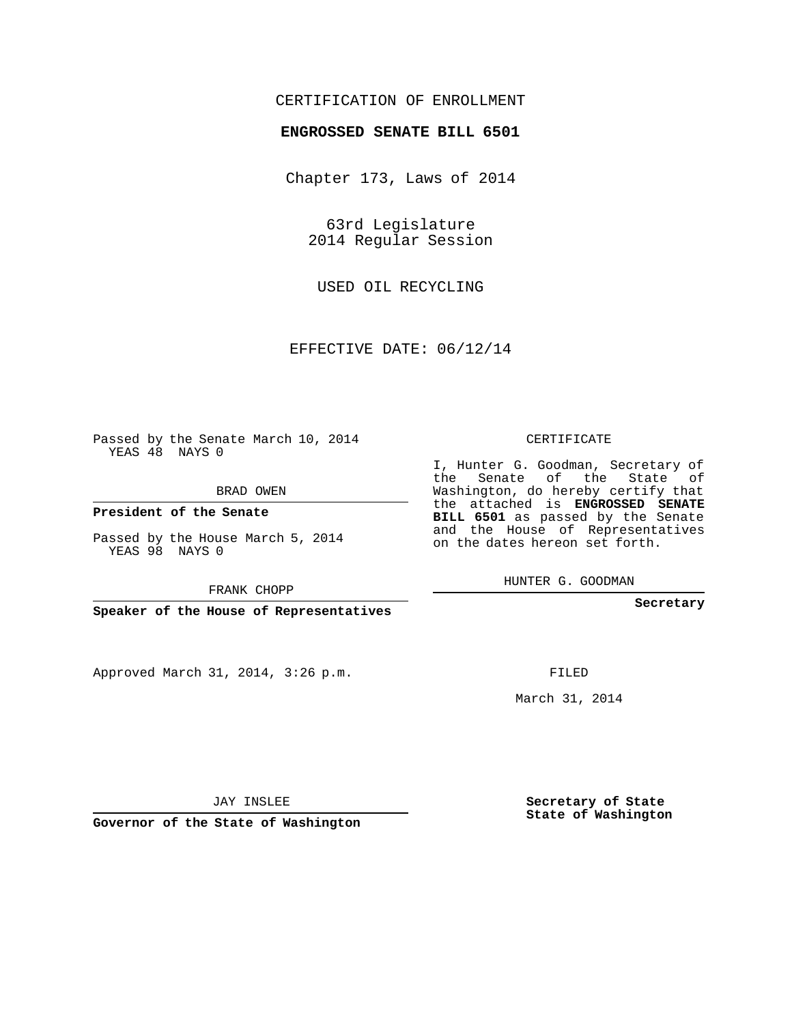### CERTIFICATION OF ENROLLMENT

### **ENGROSSED SENATE BILL 6501**

Chapter 173, Laws of 2014

63rd Legislature 2014 Regular Session

USED OIL RECYCLING

EFFECTIVE DATE: 06/12/14

Passed by the Senate March 10, 2014 YEAS 48 NAYS 0

BRAD OWEN

**President of the Senate**

Passed by the House March 5, 2014 YEAS 98 NAYS 0

FRANK CHOPP

**Speaker of the House of Representatives**

Approved March 31, 2014, 3:26 p.m.

CERTIFICATE

I, Hunter G. Goodman, Secretary of the Senate of the State of Washington, do hereby certify that the attached is **ENGROSSED SENATE BILL 6501** as passed by the Senate and the House of Representatives on the dates hereon set forth.

HUNTER G. GOODMAN

**Secretary**

FILED

March 31, 2014

**Secretary of State State of Washington**

JAY INSLEE

**Governor of the State of Washington**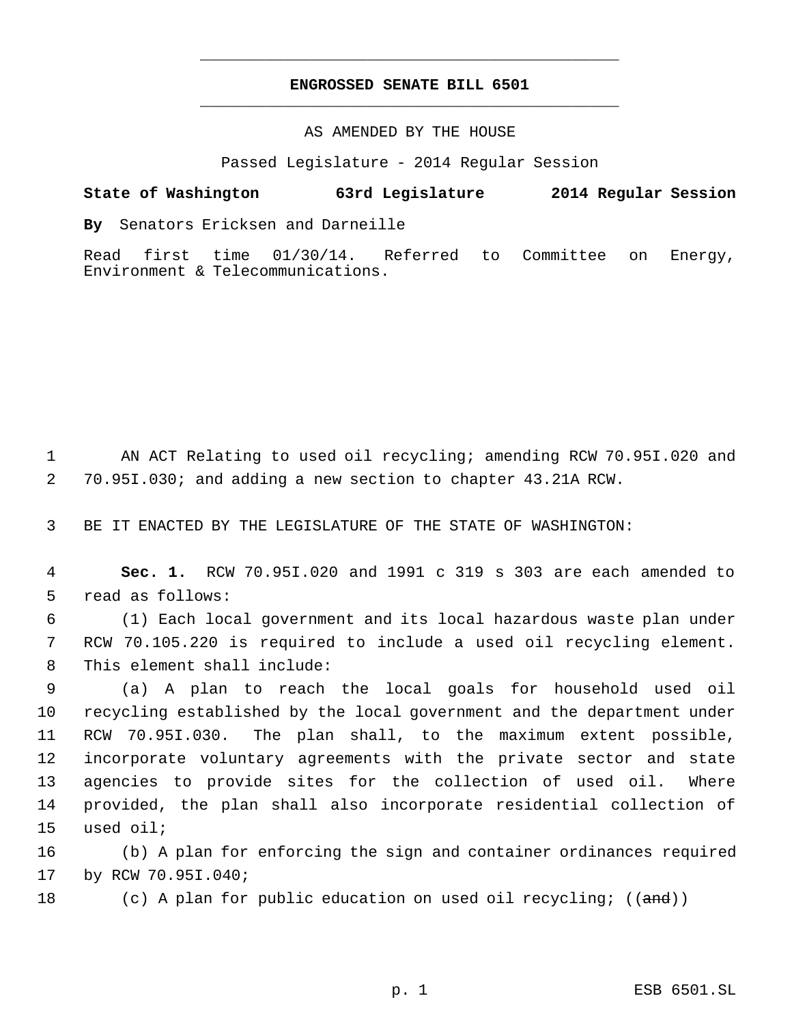## **ENGROSSED SENATE BILL 6501** \_\_\_\_\_\_\_\_\_\_\_\_\_\_\_\_\_\_\_\_\_\_\_\_\_\_\_\_\_\_\_\_\_\_\_\_\_\_\_\_\_\_\_\_\_

\_\_\_\_\_\_\_\_\_\_\_\_\_\_\_\_\_\_\_\_\_\_\_\_\_\_\_\_\_\_\_\_\_\_\_\_\_\_\_\_\_\_\_\_\_

### AS AMENDED BY THE HOUSE

Passed Legislature - 2014 Regular Session

# **State of Washington 63rd Legislature 2014 Regular Session**

**By** Senators Ericksen and Darneille

Read first time 01/30/14. Referred to Committee on Energy, Environment & Telecommunications.

 AN ACT Relating to used oil recycling; amending RCW 70.95I.020 and 70.95I.030; and adding a new section to chapter 43.21A RCW.

BE IT ENACTED BY THE LEGISLATURE OF THE STATE OF WASHINGTON:

 **Sec. 1.** RCW 70.95I.020 and 1991 c 319 s 303 are each amended to read as follows:

 (1) Each local government and its local hazardous waste plan under RCW 70.105.220 is required to include a used oil recycling element. This element shall include:

 (a) A plan to reach the local goals for household used oil recycling established by the local government and the department under RCW 70.95I.030. The plan shall, to the maximum extent possible, incorporate voluntary agreements with the private sector and state agencies to provide sites for the collection of used oil. Where provided, the plan shall also incorporate residential collection of used oil;

 (b) A plan for enforcing the sign and container ordinances required by RCW 70.95I.040;

18 (c) A plan for public education on used oil recycling; ((and))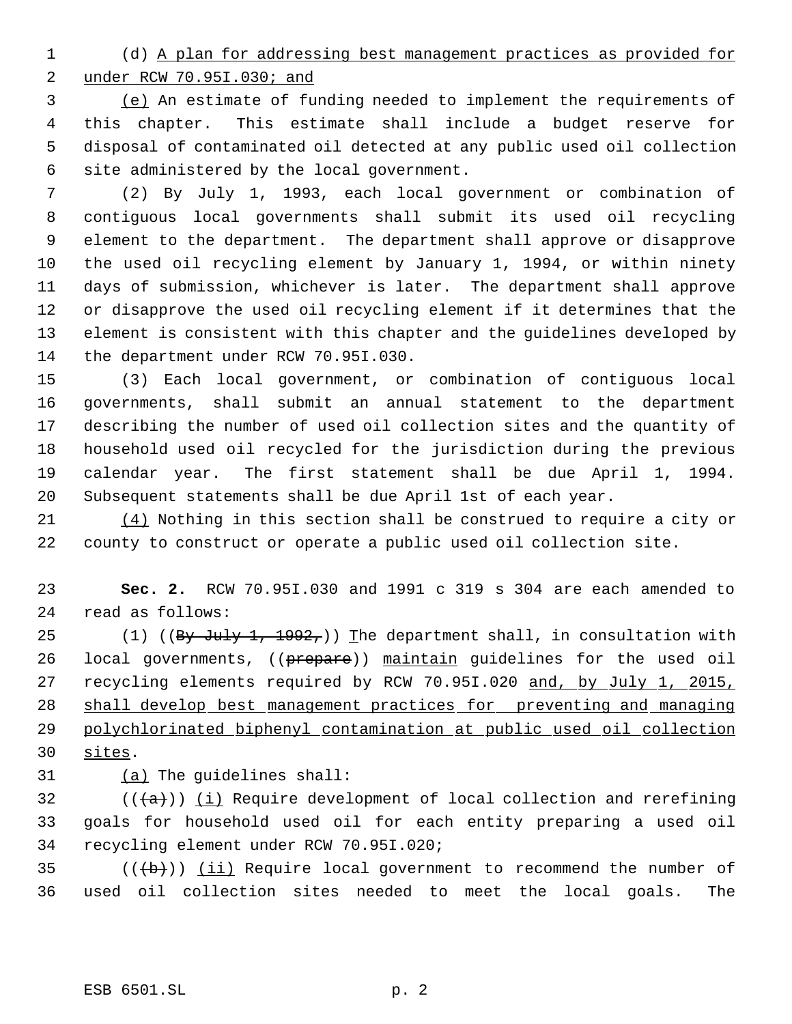(d) A plan for addressing best management practices as provided for under RCW 70.95I.030; and

 (e) An estimate of funding needed to implement the requirements of this chapter. This estimate shall include a budget reserve for disposal of contaminated oil detected at any public used oil collection site administered by the local government.

 (2) By July 1, 1993, each local government or combination of contiguous local governments shall submit its used oil recycling element to the department. The department shall approve or disapprove the used oil recycling element by January 1, 1994, or within ninety days of submission, whichever is later. The department shall approve or disapprove the used oil recycling element if it determines that the element is consistent with this chapter and the guidelines developed by the department under RCW 70.95I.030.

 (3) Each local government, or combination of contiguous local governments, shall submit an annual statement to the department describing the number of used oil collection sites and the quantity of household used oil recycled for the jurisdiction during the previous calendar year. The first statement shall be due April 1, 1994. Subsequent statements shall be due April 1st of each year.

 (4) Nothing in this section shall be construed to require a city or county to construct or operate a public used oil collection site.

 **Sec. 2.** RCW 70.95I.030 and 1991 c 319 s 304 are each amended to read as follows:

25 (1) ( $(By \text{ July } 1, 1992,)$ ) The department shall, in consultation with 26 local governments, ((prepare)) maintain guidelines for the used oil 27 recycling elements required by RCW 70.951.020 and, by July 1, 2015, shall develop best management practices for preventing and managing polychlorinated biphenyl contamination at public used oil collection sites.

(a) The guidelines shall:

32  $((+a))$   $(i)$  Require development of local collection and rerefining goals for household used oil for each entity preparing a used oil recycling element under RCW 70.95I.020;

35  $((+b))$   $(i)$  Require local government to recommend the number of used oil collection sites needed to meet the local goals. The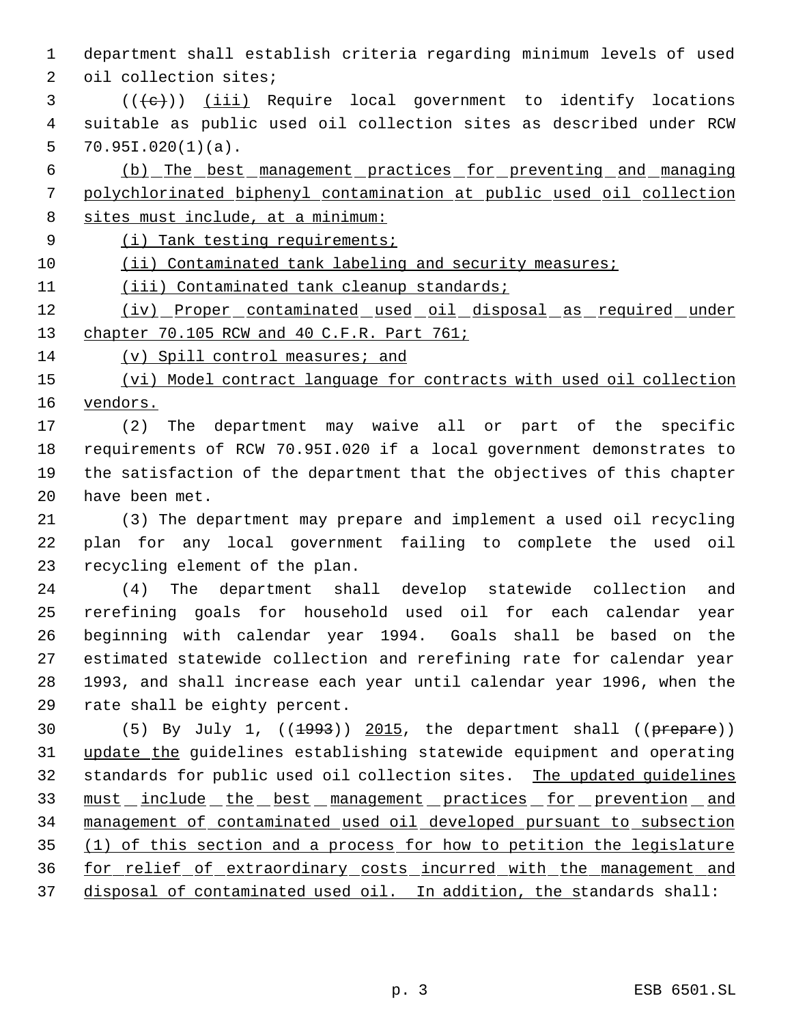department shall establish criteria regarding minimum levels of used

oil collection sites;

- (( $\left(\frac{1}{11}\right)$  ( $\frac{1}{11}$ ) Require local government to identify locations suitable as public used oil collection sites as described under RCW 70.951.020(1)(a).
- (b) The best management practices for preventing and managing polychlorinated biphenyl contamination at public used oil collection sites must include, at a minimum:
- 
- 9 (i) Tank testing requirements;
- 10 (ii) Contaminated tank labeling and security measures;
- (iii) Contaminated tank cleanup standards;
- 12 (iv) Proper contaminated used oil disposal as required under 13 chapter 70.105 RCW and 40 C.F.R. Part 761;
- (v) Spill control measures; and

15 (vi) Model contract language for contracts with used oil collection vendors.

 (2) The department may waive all or part of the specific requirements of RCW 70.95I.020 if a local government demonstrates to the satisfaction of the department that the objectives of this chapter have been met.

 (3) The department may prepare and implement a used oil recycling plan for any local government failing to complete the used oil recycling element of the plan.

 (4) The department shall develop statewide collection and rerefining goals for household used oil for each calendar year beginning with calendar year 1994. Goals shall be based on the estimated statewide collection and rerefining rate for calendar year 1993, and shall increase each year until calendar year 1996, when the rate shall be eighty percent.

30 (5) By July 1, ((<del>1993</del>)) 2015, the department shall ((prepare)) update the guidelines establishing statewide equipment and operating standards for public used oil collection sites. The updated guidelines 33 must include the best management practices for prevention and management of contaminated used oil developed pursuant to subsection (1) of this section and a process for how to petition the legislature for relief of extraordinary costs incurred with the management and 37 disposal of contaminated used oil. In addition, the standards shall: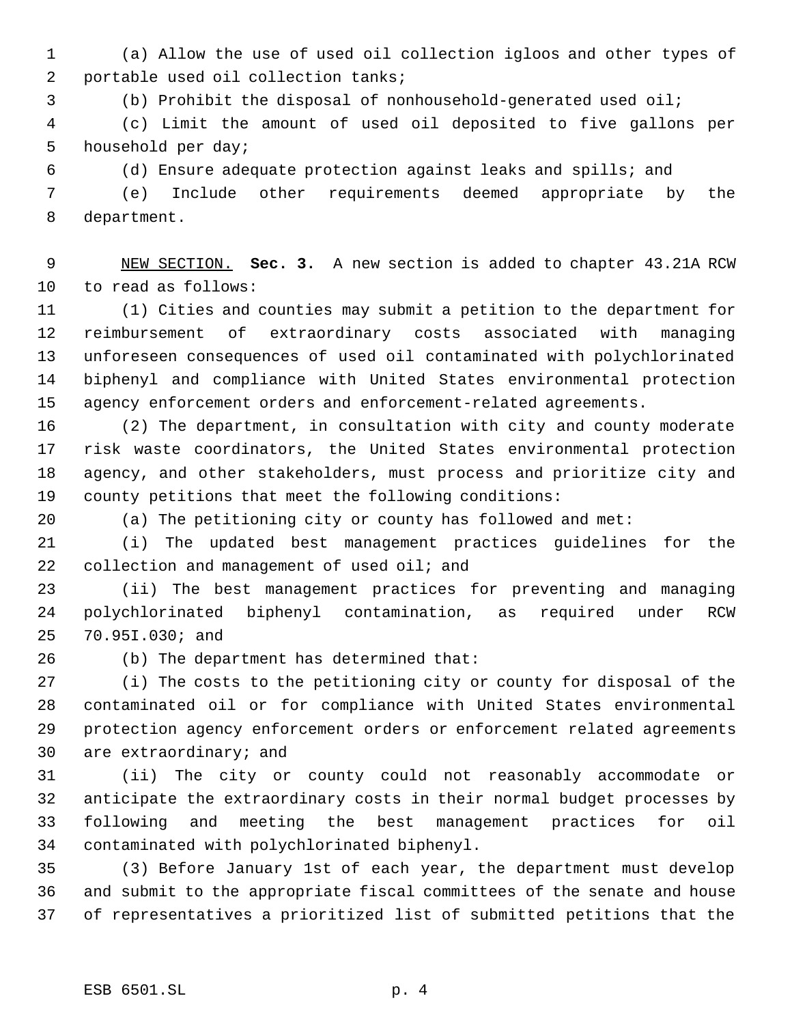(a) Allow the use of used oil collection igloos and other types of portable used oil collection tanks;

(b) Prohibit the disposal of nonhousehold-generated used oil;

 (c) Limit the amount of used oil deposited to five gallons per household per day;

(d) Ensure adequate protection against leaks and spills; and

 (e) Include other requirements deemed appropriate by the department.

 NEW SECTION. **Sec. 3.** A new section is added to chapter 43.21A RCW to read as follows:

 (1) Cities and counties may submit a petition to the department for reimbursement of extraordinary costs associated with managing unforeseen consequences of used oil contaminated with polychlorinated biphenyl and compliance with United States environmental protection agency enforcement orders and enforcement-related agreements.

 (2) The department, in consultation with city and county moderate risk waste coordinators, the United States environmental protection agency, and other stakeholders, must process and prioritize city and county petitions that meet the following conditions:

(a) The petitioning city or county has followed and met:

 (i) The updated best management practices guidelines for the 22 collection and management of used oil; and

 (ii) The best management practices for preventing and managing polychlorinated biphenyl contamination, as required under RCW 70.95I.030; and

(b) The department has determined that:

 (i) The costs to the petitioning city or county for disposal of the contaminated oil or for compliance with United States environmental protection agency enforcement orders or enforcement related agreements are extraordinary; and

 (ii) The city or county could not reasonably accommodate or anticipate the extraordinary costs in their normal budget processes by following and meeting the best management practices for oil contaminated with polychlorinated biphenyl.

 (3) Before January 1st of each year, the department must develop and submit to the appropriate fiscal committees of the senate and house of representatives a prioritized list of submitted petitions that the